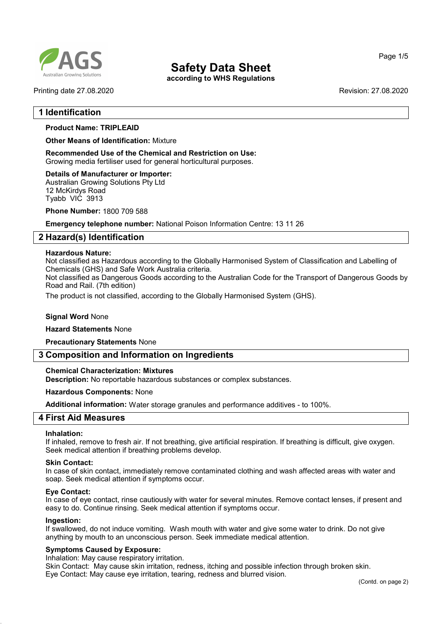

according to WHS Regulations

Printing date 27.08.2020 Revision: 27.08.2020

Page 1/5

## 1 Identification

## Product Name: TRIPLEAID

Other Means of Identification: Mixture

Recommended Use of the Chemical and Restriction on Use: Growing media fertiliser used for general horticultural purposes.

#### Details of Manufacturer or Importer:

Australian Growing Solutions Pty Ltd 12 McKirdys Road Tyabb VIC 3913

Phone Number: 1800 709 588

Emergency telephone number: National Poison Information Centre: 13 11 26

## 2 Hazard(s) Identification

#### Hazardous Nature:

Not classified as Hazardous according to the Globally Harmonised System of Classification and Labelling of Chemicals (GHS) and Safe Work Australia criteria.

Not classified as Dangerous Goods according to the Australian Code for the Transport of Dangerous Goods by Road and Rail. (7th edition)

The product is not classified, according to the Globally Harmonised System (GHS).

#### **Signal Word None**

#### Hazard Statements None

Precautionary Statements None

## 3 Composition and Information on Ingredients

## Chemical Characterization: Mixtures

Description: No reportable hazardous substances or complex substances.

#### Hazardous Components: None

Additional information: Water storage granules and performance additives - to 100%.

## 4 First Aid Measures

#### Inhalation:

If inhaled, remove to fresh air. If not breathing, give artificial respiration. If breathing is difficult, give oxygen. Seek medical attention if breathing problems develop.

#### Skin Contact:

In case of skin contact, immediately remove contaminated clothing and wash affected areas with water and soap. Seek medical attention if symptoms occur.

#### Eye Contact:

In case of eye contact, rinse cautiously with water for several minutes. Remove contact lenses, if present and easy to do. Continue rinsing. Seek medical attention if symptoms occur.

#### Ingestion:

If swallowed, do not induce vomiting. Wash mouth with water and give some water to drink. Do not give anything by mouth to an unconscious person. Seek immediate medical attention.

#### Symptoms Caused by Exposure:

Inhalation: May cause respiratory irritation.

Skin Contact: May cause skin irritation, redness, itching and possible infection through broken skin. Eye Contact: May cause eye irritation, tearing, redness and blurred vision.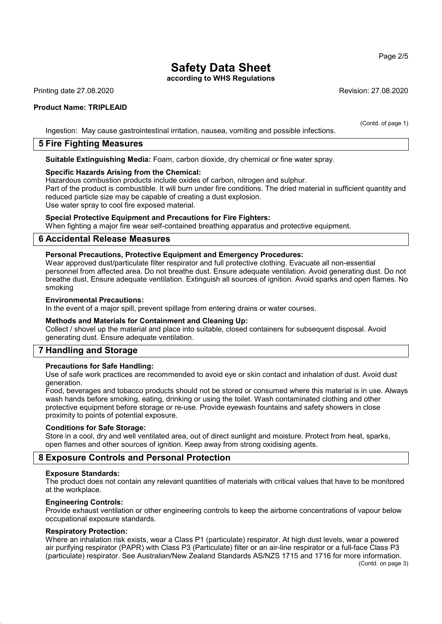according to WHS Regulations

Printing date 27.08.2020 Revision: 27.08.2020

## Product Name: TRIPLEAID

(Contd. of page 1) Ingestion: May cause gastrointestinal irritation, nausea, vomiting and possible infections.

## 5 Fire Fighting Measures

Suitable Extinguishing Media: Foam, carbon dioxide, dry chemical or fine water spray.

## Specific Hazards Arising from the Chemical:

Hazardous combustion products include oxides of carbon, nitrogen and sulphur.

Part of the product is combustible. It will burn under fire conditions. The dried material in sufficient quantity and reduced particle size may be capable of creating a dust explosion.

Use water spray to cool fire exposed material.

## Special Protective Equipment and Precautions for Fire Fighters:

When fighting a major fire wear self-contained breathing apparatus and protective equipment.

## 6 Accidental Release Measures

#### Personal Precautions, Protective Equipment and Emergency Procedures:

Wear approved dust/particulate filter respirator and full protective clothing. Evacuate all non-essential personnel from affected area. Do not breathe dust. Ensure adequate ventilation. Avoid generating dust. Do not breathe dust. Ensure adequate ventilation. Extinguish all sources of ignition. Avoid sparks and open flames. No smoking

#### Environmental Precautions:

In the event of a major spill, prevent spillage from entering drains or water courses.

#### Methods and Materials for Containment and Cleaning Up:

Collect / shovel up the material and place into suitable, closed containers for subsequent disposal. Avoid generating dust. Ensure adequate ventilation.

## 7 Handling and Storage

## Precautions for Safe Handling:

Use of safe work practices are recommended to avoid eye or skin contact and inhalation of dust. Avoid dust generation.

Food, beverages and tobacco products should not be stored or consumed where this material is in use. Always wash hands before smoking, eating, drinking or using the toilet. Wash contaminated clothing and other protective equipment before storage or re-use. Provide eyewash fountains and safety showers in close proximity to points of potential exposure.

#### Conditions for Safe Storage:

Store in a cool, dry and well ventilated area, out of direct sunlight and moisture. Protect from heat, sparks, open flames and other sources of ignition. Keep away from strong oxidising agents.

## 8 Exposure Controls and Personal Protection

#### Exposure Standards:

The product does not contain any relevant quantities of materials with critical values that have to be monitored at the workplace.

#### Engineering Controls:

Provide exhaust ventilation or other engineering controls to keep the airborne concentrations of vapour below occupational exposure standards.

#### Respiratory Protection:

Where an inhalation risk exists, wear a Class P1 (particulate) respirator. At high dust levels, wear a powered air purifying respirator (PAPR) with Class P3 (Particulate) filter or an air-line respirator or a full-face Class P3 (particulate) respirator. See Australian/New Zealand Standards AS/NZS 1715 and 1716 for more information.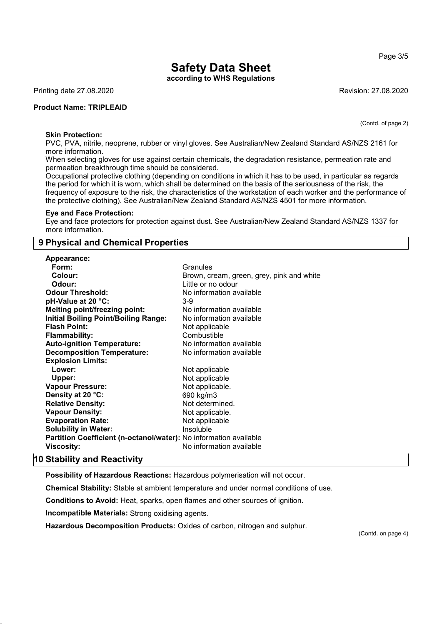according to WHS Regulations

Printing date 27.08.2020 **Revision: 27.08.2020** Revision: 27.08.2020

## Product Name: TRIPLEAID

(Contd. of page 2)

Page 3/5

#### Skin Protection:

PVC, PVA, nitrile, neoprene, rubber or vinyl gloves. See Australian/New Zealand Standard AS/NZS 2161 for more information.

When selecting gloves for use against certain chemicals, the degradation resistance, permeation rate and permeation breakthrough time should be considered.

Occupational protective clothing (depending on conditions in which it has to be used, in particular as regards the period for which it is worn, which shall be determined on the basis of the seriousness of the risk, the frequency of exposure to the risk, the characteristics of the workstation of each worker and the performance of the protective clothing). See Australian/New Zealand Standard AS/NZS 4501 for more information.

#### Eye and Face Protection:

Eye and face protectors for protection against dust. See Australian/New Zealand Standard AS/NZS 1337 for more information.

## 9 Physical and Chemical Properties

| Appearance:                                                       |                                           |
|-------------------------------------------------------------------|-------------------------------------------|
| Form:                                                             | Granules                                  |
| Colour:                                                           | Brown, cream, green, grey, pink and white |
| Odour:                                                            | Little or no odour                        |
| <b>Odour Threshold:</b>                                           | No information available                  |
| pH-Value at 20 °C:                                                | $3-9$                                     |
| <b>Melting point/freezing point:</b>                              | No information available                  |
| <b>Initial Boiling Point/Boiling Range:</b>                       | No information available                  |
| <b>Flash Point:</b>                                               | Not applicable                            |
| <b>Flammability:</b>                                              | Combustible                               |
| <b>Auto-ignition Temperature:</b>                                 | No information available                  |
| <b>Decomposition Temperature:</b>                                 | No information available                  |
| <b>Explosion Limits:</b>                                          |                                           |
| Lower:                                                            | Not applicable                            |
| Upper:                                                            | Not applicable                            |
| <b>Vapour Pressure:</b>                                           | Not applicable.                           |
| Density at 20 °C:                                                 | 690 kg/m3                                 |
| <b>Relative Density:</b>                                          | Not determined.                           |
| <b>Vapour Density:</b>                                            | Not applicable.                           |
| <b>Evaporation Rate:</b>                                          | Not applicable                            |
| <b>Solubility in Water:</b>                                       | Insoluble                                 |
| Partition Coefficient (n-octanol/water): No information available |                                           |
| Viscosity:                                                        | No information available                  |
|                                                                   |                                           |

## 10 Stability and Reactivity

Possibility of Hazardous Reactions: Hazardous polymerisation will not occur.

Chemical Stability: Stable at ambient temperature and under normal conditions of use.

Conditions to Avoid: Heat, sparks, open flames and other sources of ignition.

Incompatible Materials: Strong oxidising agents.

Hazardous Decomposition Products: Oxides of carbon, nitrogen and sulphur.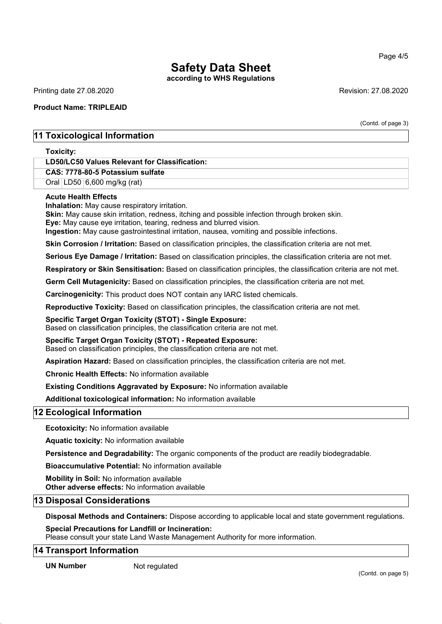according to WHS Regulations

Printing date 27.08.2020 **Revision: 27.08.2020** Revision: 27.08.2020

## Product Name: TRIPLEAID

(Contd. of page 3)

## 11 Toxicological Information

Toxicity:

## LD50/LC50 Values Relevant for Classification:

CAS: 7778-80-5 Potassium sulfate

Oral LD50 6,600 mg/kg (rat)

## Acute Health Effects

Inhalation: May cause respiratory irritation.

Skin: May cause skin irritation, redness, itching and possible infection through broken skin.

Eye: May cause eye irritation, tearing, redness and blurred vision.

Ingestion: May cause gastrointestinal irritation, nausea, vomiting and possible infections.

Skin Corrosion / Irritation: Based on classification principles, the classification criteria are not met.

Serious Eve Damage / Irritation: Based on classification principles, the classification criteria are not met.

Respiratory or Skin Sensitisation: Based on classification principles, the classification criteria are not met.

Germ Cell Mutagenicity: Based on classification principles, the classification criteria are not met.

Carcinogenicity: This product does NOT contain any IARC listed chemicals.

Reproductive Toxicity: Based on classification principles, the classification criteria are not met.

## Specific Target Organ Toxicity (STOT) - Single Exposure:

Based on classification principles, the classification criteria are not met.

## Specific Target Organ Toxicity (STOT) - Repeated Exposure:

Based on classification principles, the classification criteria are not met.

Aspiration Hazard: Based on classification principles, the classification criteria are not met.

Chronic Health Effects: No information available

Existing Conditions Aggravated by Exposure: No information available

Additional toxicological information: No information available

## 12 Ecological Information

Ecotoxicity: No information available

Aquatic toxicity: No information available

Persistence and Degradability: The organic components of the product are readily biodegradable.

Bioaccumulative Potential: No information available

Mobility in Soil: No information available

Other adverse effects: No information available

## 13 Disposal Considerations

Disposal Methods and Containers: Dispose according to applicable local and state government regulations.

## Special Precautions for Landfill or Incineration:

Please consult your state Land Waste Management Authority for more information.

## 14 Transport Information

UN Number Not regulated